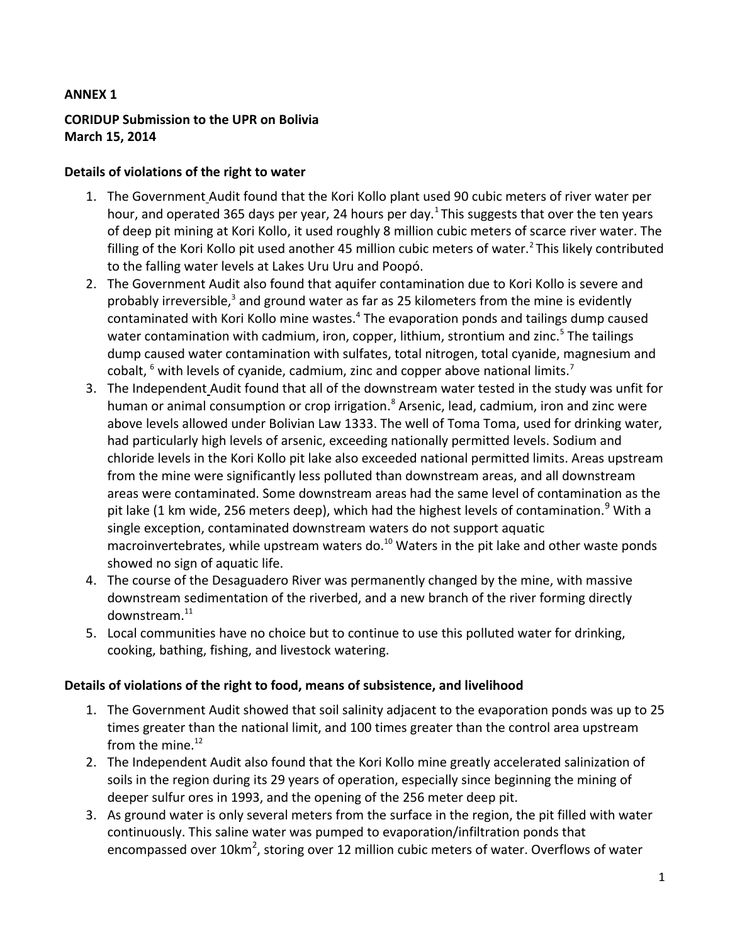## **ANNEX 1**

## **CORIDUP Submission to the UPR on Bolivia March 15, 2014**

## **Details of violations of the right to water**

- 1. The Government Audit found that the Kori Kollo plant used 90 cubic meters of river water per hour, and operated 365 days per year, 24 hours per day.<sup>1</sup> This suggests that over the ten years of deep pit mining at Kori Kollo, it used roughly 8 million cubic meters of scarce river water. The filling of the Kori Kollo pit used another 45 million cubic meters of water.<sup>2</sup> This likely contributed to the falling water levels at Lakes Uru Uru and Poopó.
- 2. The Government Audit also found that aquifer contamination due to Kori Kollo is severe and probably irreversible,<sup>3</sup> and ground water as far as 25 kilometers from the mine is evidently contaminated with Kori Kollo mine wastes.<sup>4</sup> The evaporation ponds and tailings dump caused water contamination with cadmium, iron, copper, lithium, strontium and zinc.<sup>5</sup> The tailings dump caused water contamination with sulfates, total nitrogen, total cyanide, magnesium and cobalt,  $<sup>6</sup>$  with levels of cyanide, cadmium, zinc and copper above national limits.<sup>7</sup></sup>
- 3. The Independent Audit found that all of the downstream water tested in the study was unfit for human or animal consumption or crop irrigation.<sup>8</sup> Arsenic, lead, cadmium, iron and zinc were above levels allowed under Bolivian Law 1333. The well of Toma Toma, used for drinking water, had particularly high levels of arsenic, exceeding nationally permitted levels. Sodium and chloride levels in the Kori Kollo pit lake also exceeded national permitted limits. Areas upstream from the mine were significantly less polluted than downstream areas, and all downstream areas were contaminated. Some downstream areas had the same level of contamination as the pit lake (1 km wide, 256 meters deep), which had the highest levels of contamination.<sup>9</sup> With a single exception, contaminated downstream waters do not support aquatic macroinvertebrates, while upstream waters do. $10$  Waters in the pit lake and other waste ponds showed no sign of aquatic life.
- 4. The course of the Desaguadero River was permanently changed by the mine, with massive downstream sedimentation of the riverbed, and a new branch of the river forming directly downstream.<sup>11</sup>
- 5. Local communities have no choice but to continue to use this polluted water for drinking, cooking, bathing, fishing, and livestock watering.

## **Details of violations of the right to food, means of subsistence, and livelihood**

- 1. The Government Audit showed that soil salinity adjacent to the evaporation ponds was up to 25 times greater than the national limit, and 100 times greater than the control area upstream from the mine. $^{12}$
- 2. The Independent Audit also found that the Kori Kollo mine greatly accelerated salinization of soils in the region during its 29 years of operation, especially since beginning the mining of deeper sulfur ores in 1993, and the opening of the 256 meter deep pit.
- 3. As ground water is only several meters from the surface in the region, the pit filled with water continuously. This saline water was pumped to evaporation/infiltration ponds that encompassed over 10km<sup>2</sup>, storing over 12 million cubic meters of water. Overflows of water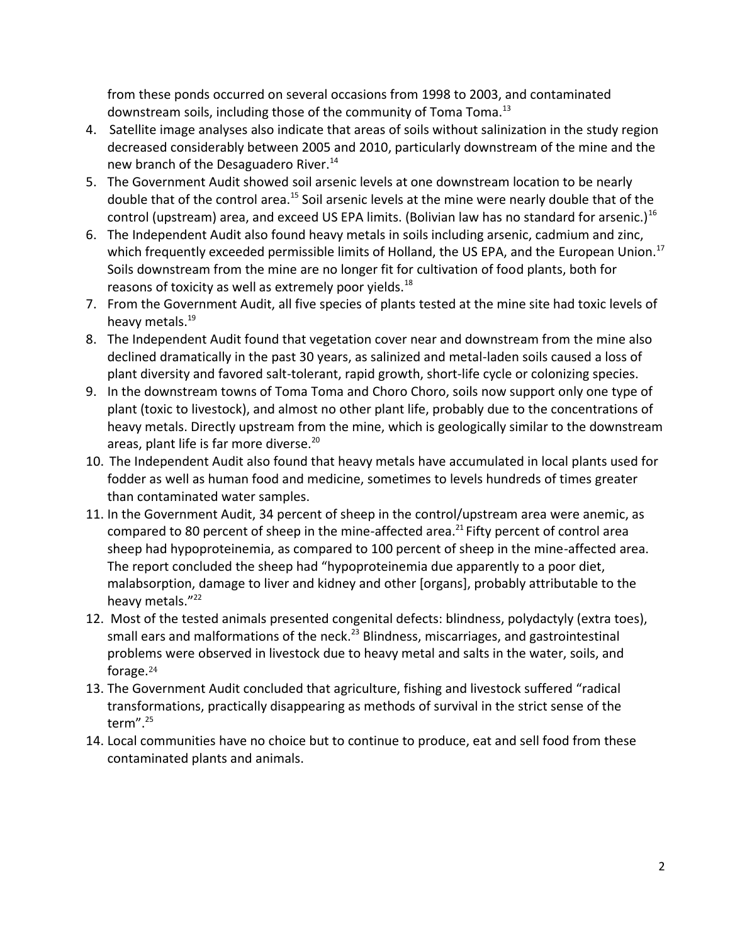from these ponds occurred on several occasions from 1998 to 2003, and contaminated downstream soils, including those of the community of Toma Toma.<sup>13</sup>

- 4. Satellite image analyses also indicate that areas of soils without salinization in the study region decreased considerably between 2005 and 2010, particularly downstream of the mine and the new branch of the Desaguadero River.<sup>14</sup>
- 5. The Government Audit showed soil arsenic levels at one downstream location to be nearly double that of the control area.<sup>15</sup> Soil arsenic levels at the mine were nearly double that of the control (upstream) area, and exceed US EPA limits. (Bolivian law has no standard for arsenic.)<sup>16</sup>
- 6. The Independent Audit also found heavy metals in soils including arsenic, cadmium and zinc, which frequently exceeded permissible limits of Holland, the US EPA, and the European Union.<sup>17</sup> Soils downstream from the mine are no longer fit for cultivation of food plants, both for reasons of toxicity as well as extremely poor yields.<sup>18</sup>
- 7. From the Government Audit, all five species of plants tested at the mine site had toxic levels of heavy metals.<sup>19</sup>
- 8. The Independent Audit found that vegetation cover near and downstream from the mine also declined dramatically in the past 30 years, as salinized and metal-laden soils caused a loss of plant diversity and favored salt-tolerant, rapid growth, short-life cycle or colonizing species.
- 9. In the downstream towns of Toma Toma and Choro Choro, soils now support only one type of plant (toxic to livestock), and almost no other plant life, probably due to the concentrations of heavy metals. Directly upstream from the mine, which is geologically similar to the downstream areas, plant life is far more diverse.<sup>20</sup>
- 10. The Independent Audit also found that heavy metals have accumulated in local plants used for fodder as well as human food and medicine, sometimes to levels hundreds of times greater than contaminated water samples.
- 11. In the Government Audit, 34 percent of sheep in the control/upstream area were anemic, as compared to 80 percent of sheep in the mine-affected area.<sup>21</sup> Fifty percent of control area sheep had hypoproteinemia, as compared to 100 percent of sheep in the mine-affected area. The report concluded the sheep had "hypoproteinemia due apparently to a poor diet, malabsorption, damage to liver and kidney and other [organs], probably attributable to the heavy metals."<sup>22</sup>
- 12. Most of the tested animals presented congenital defects: blindness, polydactyly (extra toes), small ears and malformations of the neck.<sup>23</sup> Blindness, miscarriages, and gastrointestinal problems were observed in livestock due to heavy metal and salts in the water, soils, and forage.<sup>24</sup>
- 13. The Government Audit concluded that agriculture, fishing and livestock suffered "radical transformations, practically disappearing as methods of survival in the strict sense of the term". $25$
- 14. Local communities have no choice but to continue to produce, eat and sell food from these contaminated plants and animals.